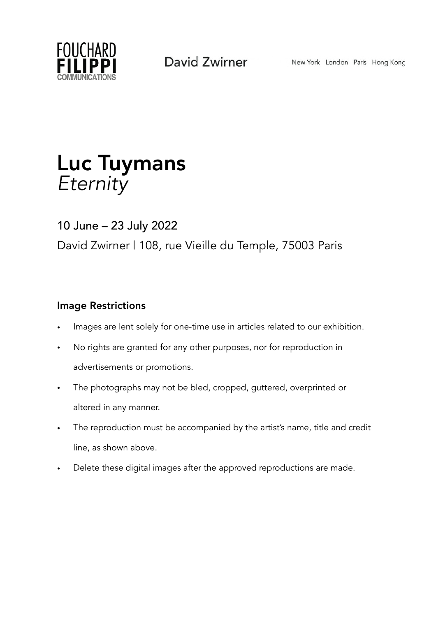

## Luc Tuymans *Eternity*

## 10 June – 23 July 2022 David Zwirner | 108, rue Vieille du Temple, 75003 Paris

### Image Restrictions

- Images are lent solely for one-time use in articles related to our exhibition.
- No rights are granted for any other purposes, nor for reproduction in advertisements or promotions.
- The photographs may not be bled, cropped, guttered, overprinted or altered in any manner.
- The reproduction must be accompanied by the artist's name, title and credit line, as shown above.
- Delete these digital images after the approved reproductions are made.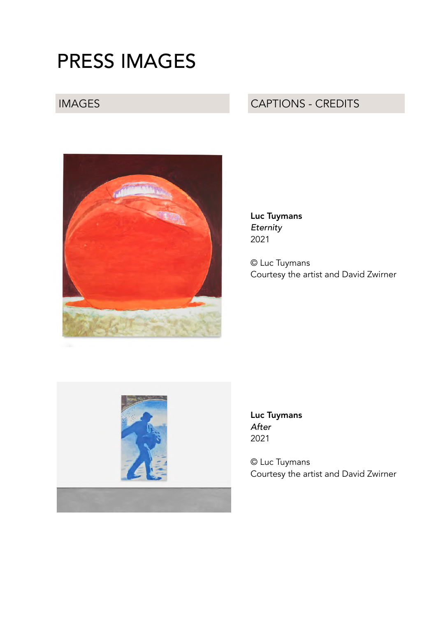# PRESS IMAGES

### IMAGES CAPTIONS - CREDITS



Luc Tuymans *Eternity* 2021

© Luc Tuymans Courtesy the artist and David Zwirner



Luc Tuymans *After* 2021

© Luc Tuymans Courtesy the artist and David Zwirner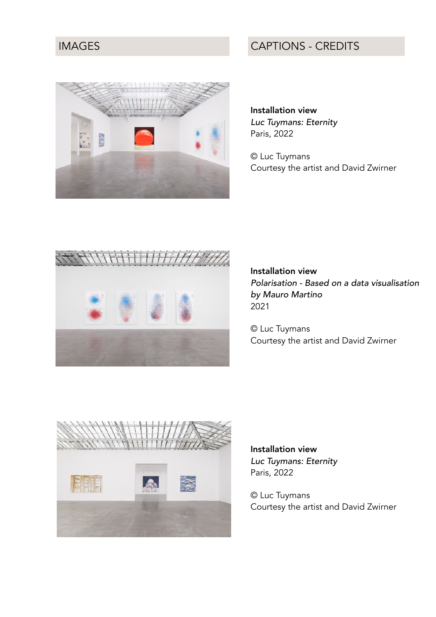IMAGES CAPTIONS - CREDITS

Installation view *Luc Tuymans: Eternity* Paris, 2022

© Luc Tuymans Courtesy the artist and David Zwirner



Installation view *Polarisation - Based on a data visualisation by Mauro Martino* 2021

© Luc Tuymans Courtesy the artist and David Zwirner



Installation view *Luc Tuymans: Eternity* Paris, 2022

© Luc Tuymans Courtesy the artist and David Zwirner